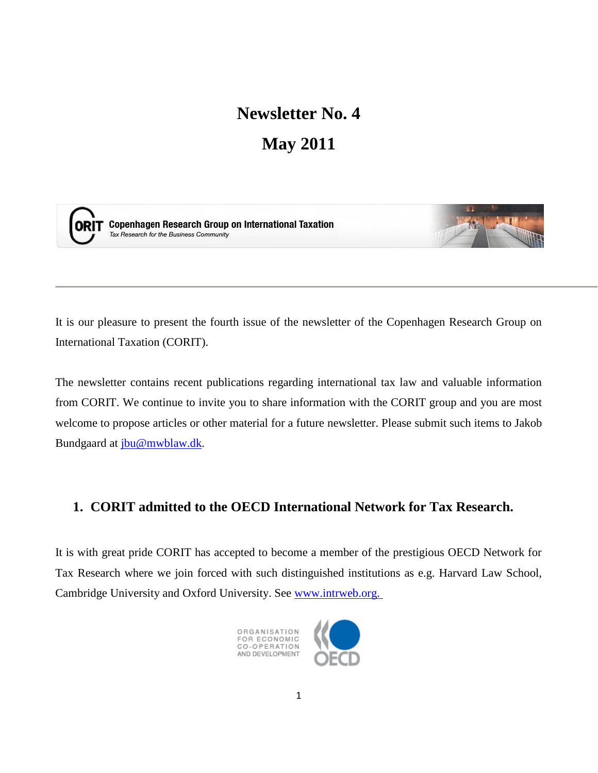# **Newsletter No. 4 May 2011**



**ORIT** Copenhagen Research Group on International Taxation Tax Research for the Business Community



It is our pleasure to present the fourth issue of the newsletter of the Copenhagen Research Group on International Taxation (CORIT).

The newsletter contains recent publications regarding international tax law and valuable information from CORIT. We continue to invite you to share information with the CORIT group and you are most welcome to propose articles or other material for a future newsletter. Please submit such items to Jakob Bundgaard at [jbu@mwblaw.dk.](mailto:jbu@mwblaw.dk)

# **1. CORIT admitted to the OECD International Network for Tax Research.**

It is with great pride CORIT has accepted to become a member of the prestigious OECD Network for Tax Research where we join forced with such distinguished institutions as e.g. Harvard Law School, Cambridge University and Oxford University. See [www.intrweb.org.](https://webmail.mwblaw.dk/owa/redir.aspx?C=568f2588681946bb93c860b3419564b8&URL=http%3a%2f%2fwww.intrweb.org)



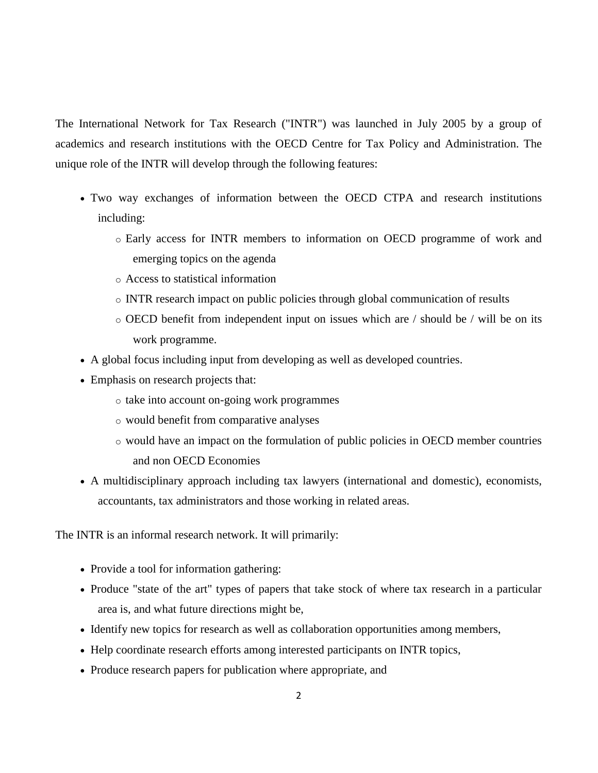The International Network for Tax Research ("INTR") was launched in July 2005 by a group of academics and research institutions with the OECD Centre for Tax Policy and Administration. The unique role of the INTR will develop through the following features:

- Two way exchanges of information between the OECD CTPA and research institutions including:
	- o Early access for INTR members to information on OECD programme of work and emerging topics on the agenda
	- o Access to statistical information
	- o INTR research impact on public policies through global communication of results
	- o OECD benefit from independent input on issues which are / should be / will be on its work programme.
- A global focus including input from developing as well as developed countries.
- Emphasis on research projects that:
	- o take into account on-going work programmes
	- o would benefit from comparative analyses
	- o would have an impact on the formulation of public policies in OECD member countries and non OECD Economies
- A multidisciplinary approach including tax lawyers (international and domestic), economists, accountants, tax administrators and those working in related areas.

The INTR is an informal research network. It will primarily:

- Provide a tool for information gathering:
- Produce "state of the art" types of papers that take stock of where tax research in a particular area is, and what future directions might be,
- Identify new topics for research as well as collaboration opportunities among members,
- Help coordinate research efforts among interested participants on INTR topics,
- Produce research papers for publication where appropriate, and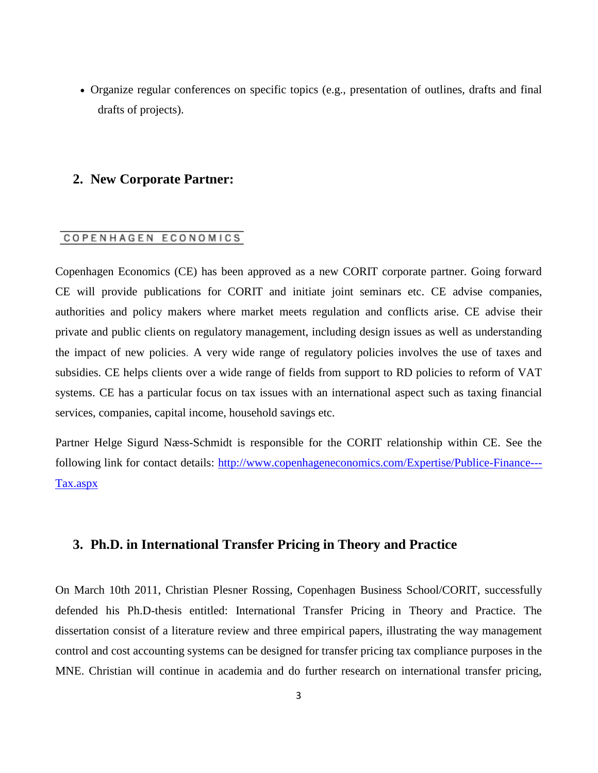Organize regular conferences on specific topics (e.g., presentation of outlines, drafts and final drafts of projects).

## **2. New Corporate Partner:**

#### COPENHAGEN ECONOMICS

Copenhagen Economics (CE) has been approved as a new CORIT corporate partner. Going forward CE will provide publications for CORIT and initiate joint seminars etc. CE advise companies, authorities and policy makers where market meets regulation and conflicts arise. CE advise their private and public clients on regulatory management, including design issues as well as understanding the impact of new policies. A very wide range of regulatory policies involves the use of taxes and subsidies. CE helps clients over a wide range of fields from support to RD policies to reform of VAT systems. CE has a particular focus on tax issues with an international aspect such as taxing financial services, companies, capital income, household savings etc.

Partner Helge Sigurd Næss-Schmidt is responsible for the CORIT relationship within CE. See the following link for contact details: [http://www.copenhageneconomics.com/Expertise/Publice-Finance---](https://webmail.mwblaw.dk/owa/redir.aspx?C=5f13c9b11ca746149c3934a42db1a294&URL=http%3a%2f%2fwww.copenhageneconomics.com%2fExpertise%2fPublice-Finance---Tax.aspx) [Tax.aspx](https://webmail.mwblaw.dk/owa/redir.aspx?C=5f13c9b11ca746149c3934a42db1a294&URL=http%3a%2f%2fwww.copenhageneconomics.com%2fExpertise%2fPublice-Finance---Tax.aspx)

#### **3. Ph.D. in International Transfer Pricing in Theory and Practice**

On March 10th 2011, Christian Plesner Rossing, Copenhagen Business School/CORIT, successfully defended his Ph.D-thesis entitled: International Transfer Pricing in Theory and Practice. The dissertation consist of a literature review and three empirical papers, illustrating the way management control and cost accounting systems can be designed for transfer pricing tax compliance purposes in the MNE. Christian will continue in academia and do further research on international transfer pricing,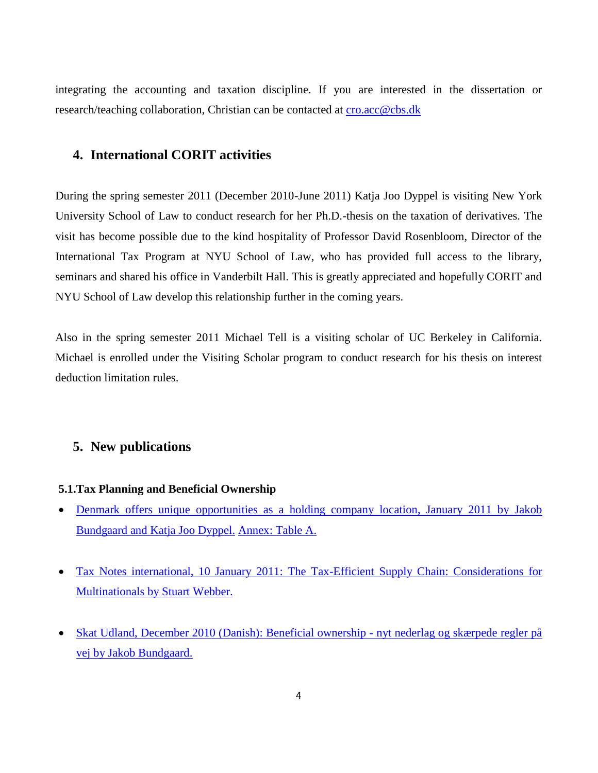integrating the accounting and taxation discipline. If you are interested in the dissertation or research/teaching collaboration, Christian can be contacted at [cro.acc@cbs.dk](mailto:cro.acc@cbs.dk)

## **4. International CORIT activities**

During the spring semester 2011 (December 2010-June 2011) Katja Joo Dyppel is visiting New York University School of Law to conduct research for her Ph.D.-thesis on the taxation of derivatives. The visit has become possible due to the kind hospitality of Professor David Rosenbloom, Director of the International Tax Program at NYU School of Law, who has provided full access to the library, seminars and shared his office in Vanderbilt Hall. This is greatly appreciated and hopefully CORIT and NYU School of Law develop this relationship further in the coming years.

Also in the spring semester 2011 Michael Tell is a visiting scholar of UC Berkeley in California. Michael is enrolled under the Visiting Scholar program to conduct research for his thesis on interest deduction limitation rules.

#### **5. New publications**

#### **5.1.Tax Planning and Beneficial Ownership**

- Denmark offers unique opportunities as a holding company location, January 2011 by Jakob [Bundgaard and Katja Joo Dyppel.](http://corit.dk/login/spaw2/uploads/files/Denmark%20offers%20unique%20opp.pdf) [Annex: Table A.](http://corit.dk/login/spaw2/uploads/files/Holding%20companies%20-%20annex.pdf)
- [Tax Notes international, 10 January 2011: The Tax-Efficient Supply Chain: Considerations for](http://corit.dk/login/spaw2/uploads/files/61TI0149-Webber.pdf)  [Multinationals by Stuart Webber.](http://corit.dk/login/spaw2/uploads/files/61TI0149-Webber.pdf)
- [Skat Udland, December 2010 \(Danish\): Beneficial ownership -](http://corit.dk/login/spaw2/uploads/files/Beneficial%20ownership%202.pdf) nyt nederlag og skærpede regler på [vej by Jakob Bundgaard.](http://corit.dk/login/spaw2/uploads/files/Beneficial%20ownership%202.pdf)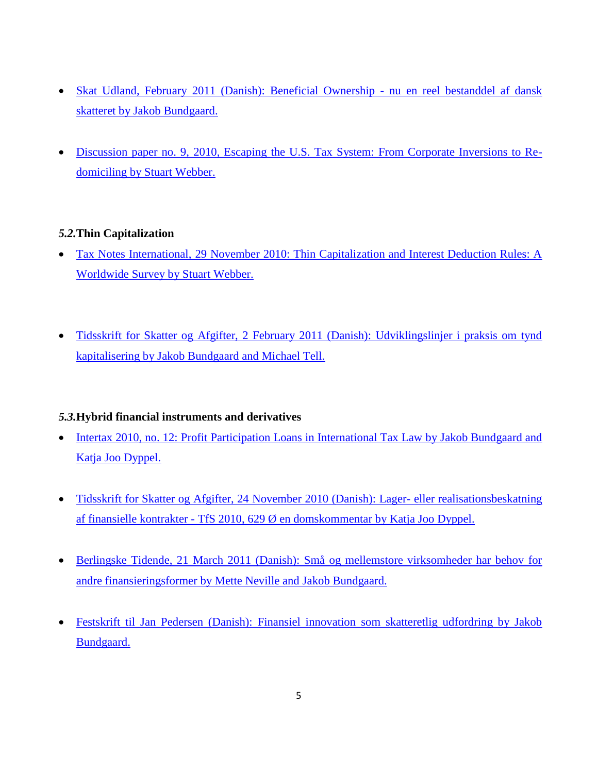- [Skat Udland, February 2011 \(Danish\): Beneficial Ownership -](http://corit.dk/login/spaw2/uploads/files/Beneficial%20Ownership.pdf) nu en reel bestanddel af dansk [skatteret by Jakob Bundgaard.](http://corit.dk/login/spaw2/uploads/files/Beneficial%20Ownership.pdf)
- [Discussion paper no. 9, 2010, Escaping the U.S. Tax System: From Corporate Inversions to Re](http://corit.dk/login/spaw2/uploads/files/Corit%20paper%20no.%209.pdf)[domiciling by Stuart Webber.](http://corit.dk/login/spaw2/uploads/files/Corit%20paper%20no.%209.pdf)

## *5.2.***Thin Capitalization**

- [Tax Notes International, 29 November 2010: Thin Capitalization and Interest Deduction Rules: A](http://corit.dk/login/spaw2/uploads/files/60TI0683-Webber.pdf)  [Worldwide Survey by Stuart Webber.](http://corit.dk/login/spaw2/uploads/files/60TI0683-Webber.pdf)
- [Tidsskrift for Skatter og Afgifter, 2 February 2011 \(Danish\): Udviklingslinjer i praksis om tynd](http://corit.dk/login/spaw2/uploads/files/Udviklingslinjer%20i%20praksis%20om%20tynd%20kapitalisering%5B1%5D.pdf)  [kapitalisering by Jakob Bundgaard and Michael Tell.](http://corit.dk/login/spaw2/uploads/files/Udviklingslinjer%20i%20praksis%20om%20tynd%20kapitalisering%5B1%5D.pdf)

## *5.3.***Hybrid financial instruments and derivatives**

- Intertax [2010, no. 12: Profit Participation Loans in International Tax Law by](http://www.kluwerlawonline.com/document.php?id=TAXI2010069) Jakob Bundgaard and [Katja Joo Dyppel.](http://www.kluwerlawonline.com/document.php?id=TAXI2010069)
- [Tidsskrift for Skatter og Afgifter, 24 November 2010 \(Danish\): Lager-](http://corit.dk/login/spaw2/uploads/files/TfS%202010%20804%20(Lager-%20eller%20realisationsbeskatning%20af%20finansielle%20kontrakter).pdf) eller realisationsbeskatning af finansielle kontrakter - [TfS 2010, 629 Ø en domskommentar by Katja Joo Dyppel.](http://corit.dk/login/spaw2/uploads/files/TfS%202010%20804%20(Lager-%20eller%20realisationsbeskatning%20af%20finansielle%20kontrakter).pdf)
- [Berlingske Tidende, 21 March 2011 \(Danish\): Små og mellemstore virksomheder har behov for](http://corit.dk/login/spaw2/uploads/files/Sm%C3%A5%20og%20mellemstore%20virksomheder%20har%20behov%20for%20andre%20finansieringsformer.pdf)  [andre finansieringsformer by Mette Neville and Jakob Bundgaard.](http://corit.dk/login/spaw2/uploads/files/Sm%C3%A5%20og%20mellemstore%20virksomheder%20har%20behov%20for%20andre%20finansieringsformer.pdf)
- [Festskrift til Jan Pedersen \(Danish\): Finansiel innovation som skatteretlig udfordring by Jakob](http://corit.dk/login/spaw2/uploads/files/Festskrift%20til%20Jan%20Pedersen.pdf)  [Bundgaard.](http://corit.dk/login/spaw2/uploads/files/Festskrift%20til%20Jan%20Pedersen.pdf)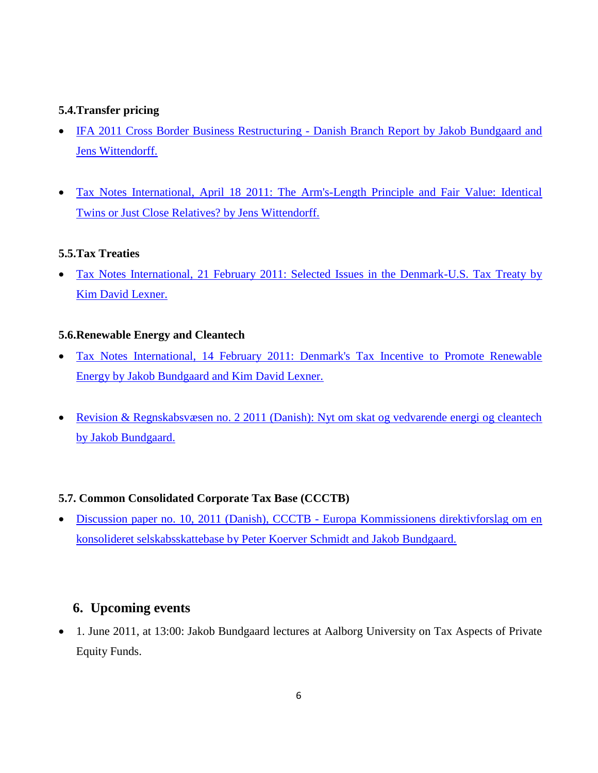## **5.4.Transfer pricing**

- [IFA 2011 Cross Border Business Restructuring -](http://corit.dk/login/spaw2/uploads/files/IFA%202011%20Business%20Restructuring.pdf) Danish Branch Report by Jakob Bundgaard and [Jens Wittendorff.](http://corit.dk/login/spaw2/uploads/files/IFA%202011%20Business%20Restructuring.pdf)
- [Tax Notes International, April 18 2011: The Arm's-Length Principle and Fair Value: Identical](http://corit.dk/login/spaw2/uploads/files/62TI0223-4.pdf)  [Twins or Just Close Relatives? by Jens Wittendorff.](http://corit.dk/login/spaw2/uploads/files/62TI0223-4.pdf)

#### **5.5.Tax Treaties**

 [Tax Notes International, 21 February 2011: Selected Issues in the Denmark-U.S. Tax Treaty by](http://corit.dk/login/spaw2/uploads/files/61TI0609-Lexner%5B1%5D.pdf)  [Kim David Lexner.](http://corit.dk/login/spaw2/uploads/files/61TI0609-Lexner%5B1%5D.pdf)

#### **5.6.Renewable Energy and Cleantech**

- [Tax Notes International, 14 February 2011: Denmark's Tax Incentive to Promote Renewable](http://corit.dk/login/spaw2/uploads/files/61TI0515-Bundgaard_Lexner%5B1%5D.pdf)  [Energy by Jakob Bundgaard and Kim David Lexner.](http://corit.dk/login/spaw2/uploads/files/61TI0515-Bundgaard_Lexner%5B1%5D.pdf)
- [Revision & Regnskabsvæsen no. 2 2011 \(Danish\): Nyt om skat og vedvarende energi og cleantech](http://corit.dk/login/spaw2/uploads/files/Nyheder%20vedr%C3%B8rende%20den%20skatteretlige%20behandling%20af%20vedvarende%20energi%20og%20cleantech%20endelig%5B1%5D.pdf)  [by Jakob Bundgaard.](http://corit.dk/login/spaw2/uploads/files/Nyheder%20vedr%C3%B8rende%20den%20skatteretlige%20behandling%20af%20vedvarende%20energi%20og%20cleantech%20endelig%5B1%5D.pdf)

## **5.7. Common Consolidated Corporate Tax Base (CCCTB)**

 Discussion paper no. 10, 2011 (Danish), CCCTB - [Europa Kommissionens direktivforslag om en](http://corit.dk/login/spaw2/uploads/files/CORIT%20Discussion%20Paper%20No.%2010%202011.pdf)  [konsolideret selskabsskattebase by Peter Koerver Schmidt and Jakob Bundgaard.](http://corit.dk/login/spaw2/uploads/files/CORIT%20Discussion%20Paper%20No.%2010%202011.pdf)

## **6. Upcoming events**

 1. June 2011, at 13:00: Jakob Bundgaard lectures at Aalborg University on Tax Aspects of Private Equity Funds.